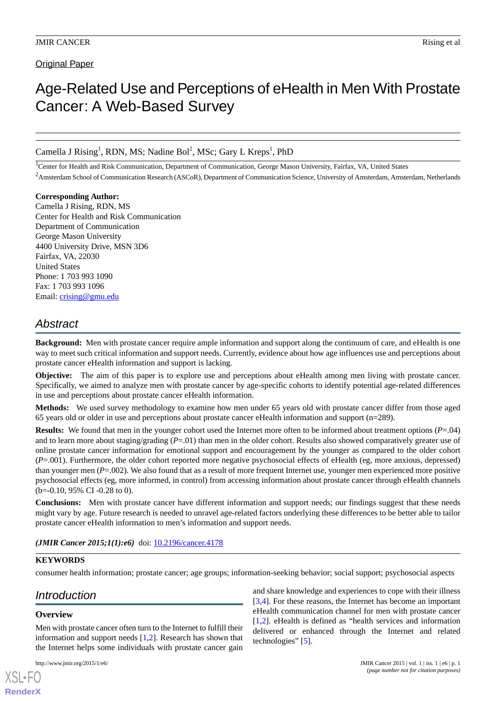# **Original Paper**

# Age-Related Use and Perceptions of eHealth in Men With Prostate Cancer: A Web-Based Survey

Camella J Rising<sup>1</sup>, RDN, MS; Nadine Bol<sup>2</sup>, MSc; Gary L Kreps<sup>1</sup>, PhD

<sup>1</sup>Center for Health and Risk Communication, Department of Communication, George Mason University, Fairfax, VA, United States

<sup>2</sup> Amsterdam School of Communication Research (ASCoR), Department of Communication Science, University of Amsterdam, Amsterdam, Netherlands

#### **Corresponding Author:** Camella J Rising, RDN, MS

Center for Health and Risk Communication Department of Communication George Mason University 4400 University Drive, MSN 3D6 Fairfax, VA, 22030 United States Phone: 1 703 993 1090 Fax: 1 703 993 1096 Email: [crising@gmu.edu](mailto:crising@gmu.edu)

# *Abstract*

**Background:** Men with prostate cancer require ample information and support along the continuum of care, and eHealth is one way to meet such critical information and support needs. Currently, evidence about how age influences use and perceptions about prostate cancer eHealth information and support is lacking.

**Objective:** The aim of this paper is to explore use and perceptions about eHealth among men living with prostate cancer. Specifically, we aimed to analyze men with prostate cancer by age-specific cohorts to identify potential age-related differences in use and perceptions about prostate cancer eHealth information.

**Methods:** We used survey methodology to examine how men under 65 years old with prostate cancer differ from those aged 65 years old or older in use and perceptions about prostate cancer eHealth information and support (n=289).

**Results:** We found that men in the younger cohort used the Internet more often to be informed about treatment options (*P*=.04) and to learn more about staging/grading (*P*=.01) than men in the older cohort. Results also showed comparatively greater use of online prostate cancer information for emotional support and encouragement by the younger as compared to the older cohort (*P*=.001). Furthermore, the older cohort reported more negative psychosocial effects of eHealth (eg, more anxious, depressed) than younger men (*P*=.002). We also found that as a result of more frequent Internet use, younger men experienced more positive psychosocial effects (eg, more informed, in control) from accessing information about prostate cancer through eHealth channels  $(b=-0.10, 95\% \text{ CI} -0.28 \text{ to } 0).$ 

**Conclusions:** Men with prostate cancer have different information and support needs; our findings suggest that these needs might vary by age. Future research is needed to unravel age-related factors underlying these differences to be better able to tailor prostate cancer eHealth information to men's information and support needs.

(JMIR Cancer 2015;1(1):e6) doi: [10.2196/cancer.4178](http://dx.doi.org/10.2196/cancer.4178)

# **KEYWORDS**

consumer health information; prostate cancer; age groups; information-seeking behavior; social support; psychosocial aspects

# *Introduction*

# **Overview**

[XSL](http://www.w3.org/Style/XSL)•FO **[RenderX](http://www.renderx.com/)**

Men with prostate cancer often turn to the Internet to fulfill their information and support needs [\[1](#page-10-0),[2\]](#page-10-1). Research has shown that the Internet helps some individuals with prostate cancer gain

and share knowledge and experiences to cope with their illness [[3](#page-10-2)[,4\]](#page-10-3). For these reasons, the Internet has become an important eHealth communication channel for men with prostate cancer [[1](#page-10-0)[,2\]](#page-10-1). eHealth is defined as "health services and information delivered or enhanced through the Internet and related technologies" [\[5\]](#page-10-4).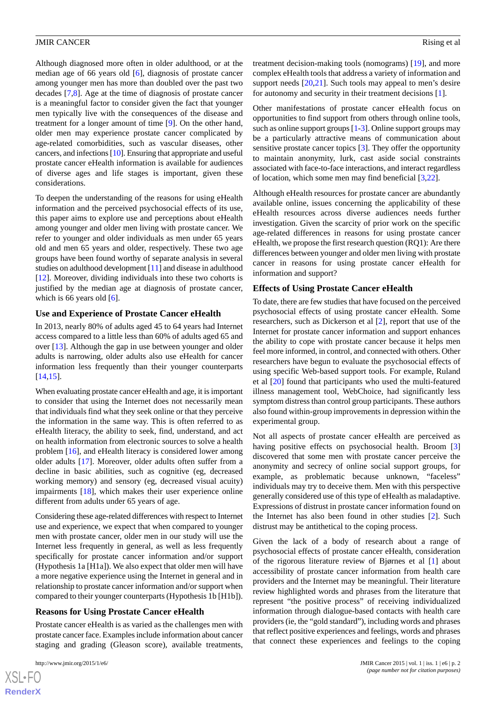Although diagnosed more often in older adulthood, or at the median age of 66 years old [[6\]](#page-10-5), diagnosis of prostate cancer among younger men has more than doubled over the past two decades [\[7,](#page-10-6)[8\]](#page-10-7). Age at the time of diagnosis of prostate cancer is a meaningful factor to consider given the fact that younger men typically live with the consequences of the disease and treatment for a longer amount of time [\[9](#page-10-8)]. On the other hand, older men may experience prostate cancer complicated by age-related comorbidities, such as vascular diseases, other cancers, and infections [\[10\]](#page-10-9). Ensuring that appropriate and useful prostate cancer eHealth information is available for audiences of diverse ages and life stages is important, given these considerations.

To deepen the understanding of the reasons for using eHealth information and the perceived psychosocial effects of its use, this paper aims to explore use and perceptions about eHealth among younger and older men living with prostate cancer. We refer to younger and older individuals as men under 65 years old and men 65 years and older, respectively. These two age groups have been found worthy of separate analysis in several studies on adulthood development [[11\]](#page-10-10) and disease in adulthood [[12\]](#page-10-11). Moreover, dividing individuals into these two cohorts is justified by the median age at diagnosis of prostate cancer, which is 66 years old  $[6]$  $[6]$ .

#### **Use and Experience of Prostate Cancer eHealth**

In 2013, nearly 80% of adults aged 45 to 64 years had Internet access compared to a little less than 60% of adults aged 65 and over [[13\]](#page-10-12). Although the gap in use between younger and older adults is narrowing, older adults also use eHealth for cancer information less frequently than their younger counterparts [[14](#page-10-13)[,15](#page-10-14)].

When evaluating prostate cancer eHealth and age, it is important to consider that using the Internet does not necessarily mean that individuals find what they seek online or that they perceive the information in the same way. This is often referred to as eHealth literacy, the ability to seek, find, understand, and act on health information from electronic sources to solve a health problem [[16\]](#page-10-15), and eHealth literacy is considered lower among older adults [[17\]](#page-10-16). Moreover, older adults often suffer from a decline in basic abilities, such as cognitive (eg, decreased working memory) and sensory (eg, decreased visual acuity) impairments [[18\]](#page-10-17), which makes their user experience online different from adults under 65 years of age.

Considering these age-related differences with respect to Internet use and experience, we expect that when compared to younger men with prostate cancer, older men in our study will use the Internet less frequently in general, as well as less frequently specifically for prostate cancer information and/or support (Hypothesis 1a [H1a]). We also expect that older men will have a more negative experience using the Internet in general and in relationship to prostate cancer information and/or support when compared to their younger counterparts (Hypothesis 1b [H1b]).

#### **Reasons for Using Prostate Cancer eHealth**

Prostate cancer eHealth is as varied as the challenges men with prostate cancer face. Examples include information about cancer staging and grading (Gleason score), available treatments,

[XSL](http://www.w3.org/Style/XSL)•FO **[RenderX](http://www.renderx.com/)**

treatment decision-making tools (nomograms) [\[19](#page-10-18)], and more complex eHealth tools that address a variety of information and support needs [[20,](#page-10-19)[21](#page-11-0)]. Such tools may appeal to men's desire for autonomy and security in their treatment decisions [[1\]](#page-10-0).

Other manifestations of prostate cancer eHealth focus on opportunities to find support from others through online tools, such as online support groups [[1](#page-10-0)[-3](#page-10-2)]. Online support groups may be a particularly attractive means of communication about sensitive prostate cancer topics [\[3](#page-10-2)]. They offer the opportunity to maintain anonymity, lurk, cast aside social constraints associated with face-to-face interactions, and interact regardless of location, which some men may find beneficial [\[3](#page-10-2),[22\]](#page-11-1).

Although eHealth resources for prostate cancer are abundantly available online, issues concerning the applicability of these eHealth resources across diverse audiences needs further investigation. Given the scarcity of prior work on the specific age-related differences in reasons for using prostate cancer eHealth, we propose the first research question (RQ1): Are there differences between younger and older men living with prostate cancer in reasons for using prostate cancer eHealth for information and support?

#### **Effects of Using Prostate Cancer eHealth**

To date, there are few studies that have focused on the perceived psychosocial effects of using prostate cancer eHealth. Some researchers, such as Dickerson et al [\[2](#page-10-1)], report that use of the Internet for prostate cancer information and support enhances the ability to cope with prostate cancer because it helps men feel more informed, in control, and connected with others. Other researchers have begun to evaluate the psychosocial effects of using specific Web-based support tools. For example, Ruland et al [[20\]](#page-10-19) found that participants who used the multi-featured illness management tool, WebChoice, had significantly less symptom distress than control group participants. These authors also found within-group improvements in depression within the experimental group.

Not all aspects of prostate cancer eHealth are perceived as having positive effects on psychosocial health. Broom [\[3](#page-10-2)] discovered that some men with prostate cancer perceive the anonymity and secrecy of online social support groups, for example, as problematic because unknown, "faceless" individuals may try to deceive them. Men with this perspective generally considered use of this type of eHealth as maladaptive. Expressions of distrust in prostate cancer information found on the Internet has also been found in other studies [[2](#page-10-1)]. Such distrust may be antithetical to the coping process.

Given the lack of a body of research about a range of psychosocial effects of prostate cancer eHealth, consideration of the rigorous literature review of Bjørnes et al [[1\]](#page-10-0) about accessibility of prostate cancer information from health care providers and the Internet may be meaningful. Their literature review highlighted words and phrases from the literature that represent "the positive process" of receiving individualized information through dialogue-based contacts with health care providers (ie, the "gold standard"), including words and phrases that reflect positive experiences and feelings, words and phrases that connect these experiences and feelings to the coping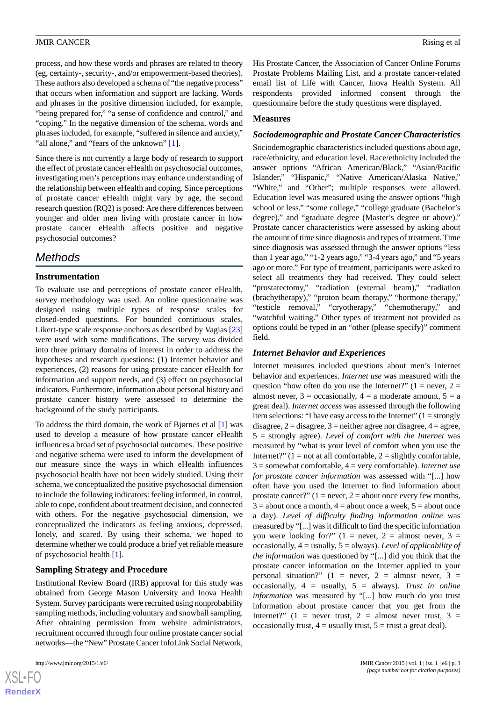process, and how these words and phrases are related to theory (eg, certainty-, security-, and/or empowerment-based theories). These authors also developed a schema of "the negative process" that occurs when information and support are lacking. Words and phrases in the positive dimension included, for example, "being prepared for," "a sense of confidence and control," and "coping." In the negative dimension of the schema, words and phrases included, for example, "suffered in silence and anxiety," "all alone," and "fears of the unknown" [[1\]](#page-10-0).

Since there is not currently a large body of research to support the effect of prostate cancer eHealth on psychosocial outcomes, investigating men's perceptions may enhance understanding of the relationship between eHealth and coping. Since perceptions of prostate cancer eHealth might vary by age, the second research question (RQ2) is posed: Are there differences between younger and older men living with prostate cancer in how prostate cancer eHealth affects positive and negative psychosocial outcomes?

# *Methods*

# **Instrumentation**

To evaluate use and perceptions of prostate cancer eHealth, survey methodology was used. An online questionnaire was designed using multiple types of response scales for closed-ended questions. For bounded continuous scales, Likert-type scale response anchors as described by Vagias [\[23](#page-11-2)] were used with some modifications. The survey was divided into three primary domains of interest in order to address the hypotheses and research questions: (1) Internet behavior and experiences, (2) reasons for using prostate cancer eHealth for information and support needs, and (3) effect on psychosocial indicators. Furthermore, information about personal history and prostate cancer history were assessed to determine the background of the study participants.

To address the third domain, the work of Bjørnes et al [\[1](#page-10-0)] was used to develop a measure of how prostate cancer eHealth influences a broad set of psychosocial outcomes. These positive and negative schema were used to inform the development of our measure since the ways in which eHealth influences psychosocial health have not been widely studied. Using their schema, we conceptualized the positive psychosocial dimension to include the following indicators: feeling informed, in control, able to cope, confident about treatment decision, and connected with others. For the negative psychosocial dimension, we conceptualized the indicators as feeling anxious, depressed, lonely, and scared. By using their schema, we hoped to determine whether we could produce a brief yet reliable measure of psychosocial health [[1\]](#page-10-0).

# **Sampling Strategy and Procedure**

Institutional Review Board (IRB) approval for this study was obtained from George Mason University and Inova Health System. Survey participants were recruited using nonprobability sampling methods, including voluntary and snowball sampling. After obtaining permission from website administrators, recruitment occurred through four online prostate cancer social networks—the "New" Prostate Cancer InfoLink Social Network,

 $X$ SL•F **[RenderX](http://www.renderx.com/)** His Prostate Cancer, the Association of Cancer Online Forums Prostate Problems Mailing List, and a prostate cancer-related email list of Life with Cancer, Inova Health System. All respondents provided informed consent through the questionnaire before the study questions were displayed.

#### **Measures**

#### *Sociodemographic and Prostate Cancer Characteristics*

Sociodemographic characteristics included questions about age, race/ethnicity, and education level. Race/ethnicity included the answer options "African American/Black," "Asian/Pacific Islander," "Hispanic," "Native American/Alaska Native," "White," and "Other"; multiple responses were allowed. Education level was measured using the answer options "high school or less," "some college," "college graduate (Bachelor's degree)," and "graduate degree (Master's degree or above)." Prostate cancer characteristics were assessed by asking about the amount of time since diagnosis and types of treatment. Time since diagnosis was assessed through the answer options "less than 1 year ago," "1-2 years ago," "3-4 years ago," and "5 years ago or more." For type of treatment, participants were asked to select all treatments they had received. They could select "prostatectomy," "radiation (external beam)," "radiation (brachytherapy)," "proton beam therapy," "hormone therapy," "testicle removal," "cryotherapy," "chemotherapy," and "watchful waiting." Other types of treatment not provided as options could be typed in an "other (please specify)" comment field.

# *Internet Behavior and Experiences*

Internet measures included questions about men's Internet behavior and experiences. *Internet use* was measured with the question "how often do you use the Internet?" ( $1 =$  never,  $2 =$ almost never,  $3 = \text{occasionally}, 4 = \text{a moderate amount}, 5 = \text{a}$ great deal). *Internet access* was assessed through the following item selections: "I have easy access to the Internet"  $(1 = \text{strongly})$ disagree,  $2 =$  disagree,  $3 =$  neither agree nor disagree,  $4 =$  agree, 5 = strongly agree). *Level of comfort with the Internet* was measured by "what is your level of comfort when you use the Internet?"  $(1 = not at all comfortable, 2 = slightly comfortable,$ 3 = somewhat comfortable, 4 = very comfortable). *Internet use for prostate cancer information* was assessed with "[...] how often have you used the Internet to find information about prostate cancer?"  $(1 = never, 2 = about once every few months,$  $3 =$  about once a month,  $4 =$  about once a week,  $5 =$  about once a day). *Level of difficulty finding information online* was measured by "[...] was it difficult to find the specific information you were looking for?"  $(1 = never, 2 = almost never, 3 =$ occasionally, 4 = usually, 5 = always). *Level of applicability of the information* was questioned by "[...] did you think that the prostate cancer information on the Internet applied to your personal situation?"  $(1 =$  never,  $2 =$  almost never,  $3 =$ occasionally, 4 = usually, 5 = always). *Trust in online information* was measured by "[...] how much do you trust information about prostate cancer that you get from the Internet?" (1 = never trust, 2 = almost never trust, 3 = occasionally trust,  $4 =$  usually trust,  $5 =$  trust a great deal).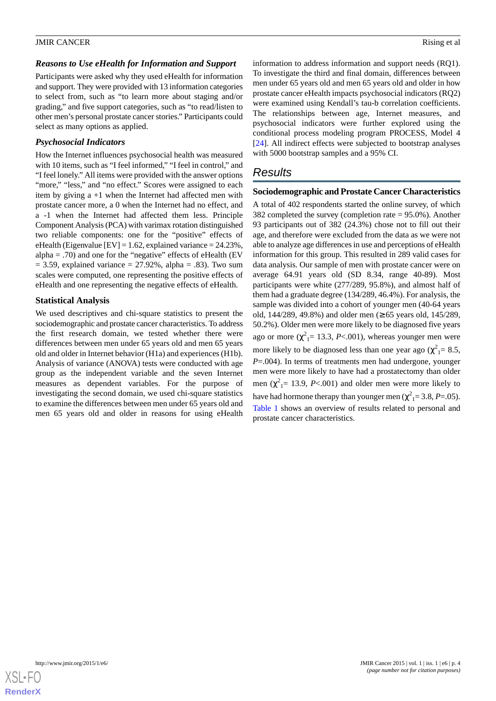#### *Reasons to Use eHealth for Information and Support*

Participants were asked why they used eHealth for information and support. They were provided with 13 information categories to select from, such as "to learn more about staging and/or grading," and five support categories, such as "to read/listen to other men's personal prostate cancer stories." Participants could select as many options as applied.

### *Psychosocial Indicators*

How the Internet influences psychosocial health was measured with 10 items, such as "I feel informed," "I feel in control," and "I feel lonely." All items were provided with the answer options "more," "less," and "no effect." Scores were assigned to each item by giving  $a +1$  when the Internet had affected men with prostate cancer more, a 0 when the Internet had no effect, and a -1 when the Internet had affected them less. Principle Component Analysis (PCA) with varimax rotation distinguished two reliable components: one for the "positive" effects of eHealth (Eigenvalue [EV] = 1.62, explained variance =  $24.23\%$ , alpha  $=$  .70) and one for the "negative" effects of eHealth (EV  $= 3.59$ , explained variance  $= 27.92\%$ , alpha  $= .83$ ). Two sum scales were computed, one representing the positive effects of eHealth and one representing the negative effects of eHealth.

# **Statistical Analysis**

We used descriptives and chi-square statistics to present the sociodemographic and prostate cancer characteristics. To address the first research domain, we tested whether there were differences between men under 65 years old and men 65 years old and older in Internet behavior (H1a) and experiences (H1b). Analysis of variance (ANOVA) tests were conducted with age group as the independent variable and the seven Internet measures as dependent variables. For the purpose of investigating the second domain, we used chi-square statistics to examine the differences between men under 65 years old and men 65 years old and older in reasons for using eHealth

information to address information and support needs (RQ1). To investigate the third and final domain, differences between men under 65 years old and men 65 years old and older in how prostate cancer eHealth impacts psychosocial indicators (RQ2) were examined using Kendall's tau-b correlation coefficients. The relationships between age, Internet measures, and psychosocial indicators were further explored using the conditional process modeling program PROCESS, Model 4 [[24\]](#page-11-3). All indirect effects were subjected to bootstrap analyses with 5000 bootstrap samples and a 95% CI.

# *Results*

#### **Sociodemographic and Prostate Cancer Characteristics**

A total of 402 respondents started the online survey, of which 382 completed the survey (completion rate = 95.0%). Another 93 participants out of 382 (24.3%) chose not to fill out their age, and therefore were excluded from the data as we were not able to analyze age differences in use and perceptions of eHealth information for this group. This resulted in 289 valid cases for data analysis. Our sample of men with prostate cancer were on average 64.91 years old (SD 8.34, range 40-89). Most participants were white (277/289, 95.8%), and almost half of them had a graduate degree (134/289, 46.4%). For analysis, the sample was divided into a cohort of younger men (40-64 years old, 144/289, 49.8%) and older men  $(≥ 65$  years old, 145/289, 50.2%). Older men were more likely to be diagnosed five years ago or more  $(\chi^2_{\vert} = 13.3, P<.001)$ , whereas younger men were more likely to be diagnosed less than one year ago ( $\chi^2$ <sub>1</sub> = 8.5, *P*=.004). In terms of treatments men had undergone, younger men were more likely to have had a prostatectomy than older men ( $\chi^2$ <sub>1</sub> = 13.9, *P*<.001) and older men were more likely to have had hormone therapy than younger men ( $\chi^2$ <sub>1</sub> = 3.8, *P* = .05). [Table 1](#page-4-0) shows an overview of results related to personal and prostate cancer characteristics.

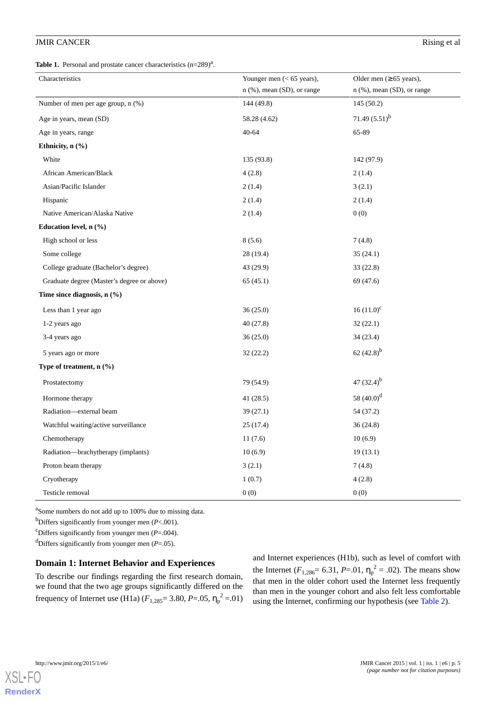<span id="page-4-0"></span>**Table 1.** Personal and prostate cancer characteristics  $(n=289)^{a}$ .

| Characteristics                            | Younger men $(< 65$ years),  |                                                              |  |  |  |
|--------------------------------------------|------------------------------|--------------------------------------------------------------|--|--|--|
|                                            | $n$ (%), mean (SD), or range | Older men $(\geq 65$ years),<br>$n$ (%), mean (SD), or range |  |  |  |
| Number of men per age group, $n$ $(\%)$    | 144 (49.8)                   | 145(50.2)                                                    |  |  |  |
| Age in years, mean (SD)                    | 58.28 (4.62)                 | 71.49 $(5.51)^b$                                             |  |  |  |
| Age in years, range                        | 40-64                        | 65-89                                                        |  |  |  |
| Ethnicity, n (%)                           |                              |                                                              |  |  |  |
| White                                      | 135 (93.8)                   | 142 (97.9)                                                   |  |  |  |
| African American/Black                     | 4(2.8)                       | 2(1.4)                                                       |  |  |  |
| Asian/Pacific Islander                     | 2(1.4)                       | 3(2.1)                                                       |  |  |  |
| Hispanic                                   | 2(1.4)                       | 2(1.4)                                                       |  |  |  |
| Native American/Alaska Native              | 2(1.4)                       | 0(0)                                                         |  |  |  |
| Education level, $n$ $(\%)$                |                              |                                                              |  |  |  |
| High school or less                        | 8(5.6)                       | 7(4.8)                                                       |  |  |  |
| Some college                               | 28 (19.4)                    | 35(24.1)                                                     |  |  |  |
| College graduate (Bachelor's degree)       | 43 (29.9)                    | 33 (22.8)                                                    |  |  |  |
| Graduate degree (Master's degree or above) | 65(45.1)                     | 69 (47.6)                                                    |  |  |  |
| Time since diagnosis, $n$ $(\%)$           |                              |                                                              |  |  |  |
| Less than 1 year ago                       | 36(25.0)                     | $16(11.0)^{c}$                                               |  |  |  |
| 1-2 years ago                              | 40(27.8)                     | 32(22.1)                                                     |  |  |  |
| 3-4 years ago                              | 36 (25.0)                    | 34(23.4)                                                     |  |  |  |
| 5 years ago or more                        | 32 (22.2)                    | 62 $(42.8)^{b}$                                              |  |  |  |
| Type of treatment, $n$ (%)                 |                              |                                                              |  |  |  |
| Prostatectomy                              | 79 (54.9)                    | 47 $(32.4)^{b}$                                              |  |  |  |
| Hormone therapy                            | 41 (28.5)                    | 58 $(40.0)^d$                                                |  |  |  |
| Radiation-external beam                    | 39(27.1)                     | 54 (37.2)                                                    |  |  |  |
| Watchful waiting/active surveillance       | 25(17.4)                     | 36(24.8)                                                     |  |  |  |
| Chemotherapy                               | 11(7.6)                      | 10(6.9)                                                      |  |  |  |
| Radiation—brachytherapy (implants)         | 10(6.9)                      | 19(13.1)                                                     |  |  |  |
| Proton beam therapy                        | 3(2.1)                       | 7(4.8)                                                       |  |  |  |
| Cryotherapy                                | 1(0.7)                       | 4(2.8)                                                       |  |  |  |
| Testicle removal                           | 0(0)                         | 0(0)                                                         |  |  |  |

<sup>a</sup>Some numbers do not add up to 100% due to missing data.

<sup>b</sup>Differs significantly from younger men (*P*<.001).

<sup>c</sup>Differs significantly from younger men  $(P=.004)$ .

<sup>d</sup>Differs significantly from younger men  $(P=.05)$ .

#### **Domain 1: Internet Behavior and Experiences**

To describe our findings regarding the first research domain, we found that the two age groups significantly differed on the frequency of Internet use (H1a)  $(F_{1,285} = 3.80, P = .05, \eta_p^2 = .01)$ 

and Internet experiences (H1b), such as level of comfort with the Internet ( $F_{1,286}$ = 6.31,  $P$ =.01,  $\eta_p^2$  = .02). The means show that men in the older cohort used the Internet less frequently than men in the younger cohort and also felt less comfortable using the Internet, confirming our hypothesis (see [Table 2](#page-5-0)).



[XSL](http://www.w3.org/Style/XSL)•FO **[RenderX](http://www.renderx.com/)**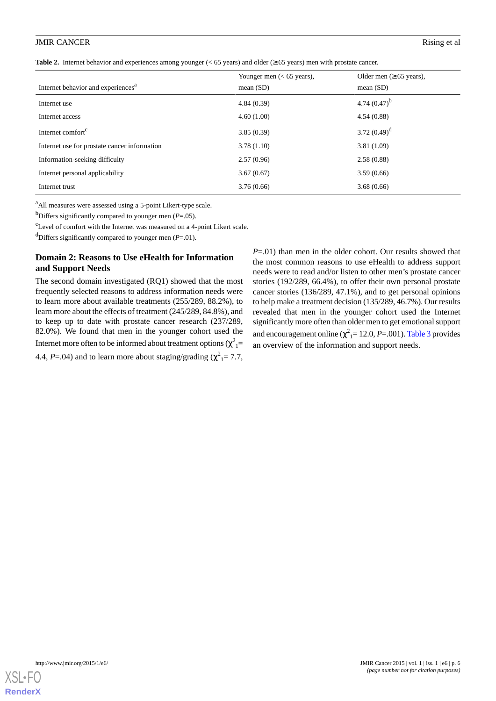<span id="page-5-0"></span>**Table 2.** Internet behavior and experiences among younger (< 65 years) and older (≥ 65 years) men with prostate cancer.

| Internet behavior and experiences <sup>a</sup> | Younger men $(< 65$ years),<br>mean $(SD)$ | Older men $(\geq 65$ years),<br>mean $(SD)$ |
|------------------------------------------------|--------------------------------------------|---------------------------------------------|
| Internet use                                   | 4.84(0.39)                                 | 4.74 $(0.47)^{b}$                           |
| Internet access                                | 4.60(1.00)                                 | 4.54(0.88)                                  |
| Internet comfort <sup>c</sup>                  | 3.85(0.39)                                 | 3.72 $(0.49)^d$                             |
| Internet use for prostate cancer information   | 3.78(1.10)                                 | 3.81(1.09)                                  |
| Information-seeking difficulty                 | 2.57(0.96)                                 | 2.58(0.88)                                  |
| Internet personal applicability                | 3.67(0.67)                                 | 3.59(0.66)                                  |
| Internet trust                                 | 3.76(0.66)                                 | 3.68(0.66)                                  |

<sup>a</sup>All measures were assessed using a 5-point Likert-type scale.

b<sub>D</sub>iffers significantly compared to younger men ( $P = .05$ ).

 $c<sup>c</sup>$  Level of comfort with the Internet was measured on a 4-point Likert scale.

<sup>d</sup>Differs significantly compared to younger men  $(P=.01)$ .

# **Domain 2: Reasons to Use eHealth for Information and Support Needs**

The second domain investigated (RQ1) showed that the most frequently selected reasons to address information needs were to learn more about available treatments (255/289, 88.2%), to learn more about the effects of treatment (245/289, 84.8%), and to keep up to date with prostate cancer research (237/289, 82.0%). We found that men in the younger cohort used the Internet more often to be informed about treatment options  $(\chi^2_{\phantom{2}1}^{\phantom{2}}$ 4.4,  $P = .04$ ) and to learn more about staging/grading ( $\chi^2$ <sub>1</sub> = 7.7,

*P*=.01) than men in the older cohort. Our results showed that the most common reasons to use eHealth to address support needs were to read and/or listen to other men's prostate cancer stories (192/289, 66.4%), to offer their own personal prostate cancer stories (136/289, 47.1%), and to get personal opinions to help make a treatment decision (135/289, 46.7%). Our results revealed that men in the younger cohort used the Internet significantly more often than older men to get emotional support and encouragement online ( $\chi^2$ <sub>1</sub>= 12.0, *P*=.001). [Table 3](#page-6-0) provides an overview of the information and support needs.

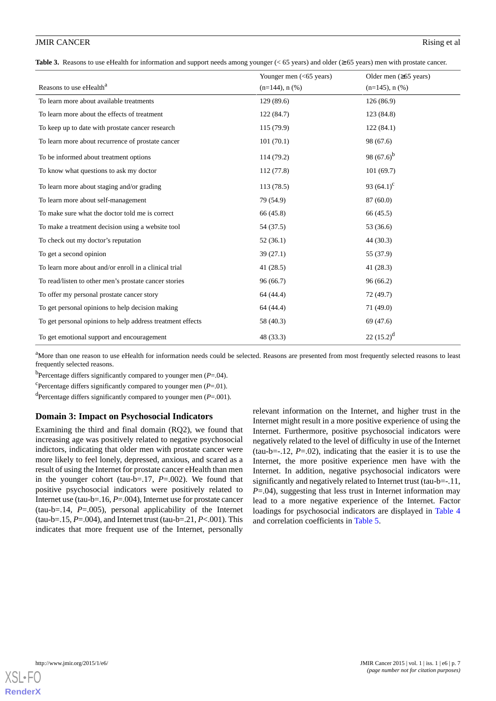<span id="page-6-0"></span>**Table 3.** Reasons to use eHealth for information and support needs among younger (< 65 years) and older (≥ 65 years) men with prostate cancer.

|                                                            | Younger men $(<$ 65 years) | Older men $(\geq 65$ years) |
|------------------------------------------------------------|----------------------------|-----------------------------|
| Reasons to use eHealth <sup>a</sup>                        | $(n=144)$ , n $(\%)$       | $(n=145)$ , n $(\% )$       |
| To learn more about available treatments                   | 129(89.6)                  | 126(86.9)                   |
| To learn more about the effects of treatment               | 122(84.7)                  | 123 (84.8)                  |
| To keep up to date with prostate cancer research           | 115(79.9)                  | 122(84.1)                   |
| To learn more about recurrence of prostate cancer          | 101(70.1)                  | 98 (67.6)                   |
| To be informed about treatment options                     | 114 (79.2)                 | 98 $(67.6)^b$               |
| To know what questions to ask my doctor                    | 112(77.8)                  | 101(69.7)                   |
| To learn more about staging and/or grading                 | 113(78.5)                  | 93 $(64.1)^c$               |
| To learn more about self-management                        | 79 (54.9)                  | 87 (60.0)                   |
| To make sure what the doctor told me is correct            | 66 (45.8)                  | 66 (45.5)                   |
| To make a treatment decision using a website tool          | 54 (37.5)                  | 53 (36.6)                   |
| To check out my doctor's reputation                        | 52(36.1)                   | 44 (30.3)                   |
| To get a second opinion                                    | 39(27.1)                   | 55 (37.9)                   |
| To learn more about and/or enroll in a clinical trial      | 41(28.5)                   | 41(28.3)                    |
| To read/listen to other men's prostate cancer stories      | 96(66.7)                   | 96(66.2)                    |
| To offer my personal prostate cancer story                 | 64 (44.4)                  | 72 (49.7)                   |
| To get personal opinions to help decision making           | 64 (44.4)                  | 71(49.0)                    |
| To get personal opinions to help address treatment effects | 58 (40.3)                  | 69 (47.6)                   |
| To get emotional support and encouragement                 | 48 (33.3)                  | $22(15.2)^d$                |

<sup>a</sup>More than one reason to use eHealth for information needs could be selected. Reasons are presented from most frequently selected reasons to least frequently selected reasons.

b Percentage differs significantly compared to younger men (*P*=.04).

<sup>c</sup>Percentage differs significantly compared to younger men  $(P=01)$ .

d Percentage differs significantly compared to younger men (*P*=.001).

#### **Domain 3: Impact on Psychosocial Indicators**

Examining the third and final domain (RQ2), we found that increasing age was positively related to negative psychosocial indictors, indicating that older men with prostate cancer were more likely to feel lonely, depressed, anxious, and scared as a result of using the Internet for prostate cancer eHealth than men in the younger cohort (tau-b=.17, *P*=.002). We found that positive psychosocial indicators were positively related to Internet use (tau-b=.16, *P*=.004), Internet use for prostate cancer (tau-b=.14, *P*=.005), personal applicability of the Internet (tau-b=.15, *P*=.004), and Internet trust (tau-b=.21, *P*<.001). This indicates that more frequent use of the Internet, personally

relevant information on the Internet, and higher trust in the Internet might result in a more positive experience of using the Internet. Furthermore, positive psychosocial indicators were negatively related to the level of difficulty in use of the Internet (tau-b= $-.12$ ,  $P = .02$ ), indicating that the easier it is to use the Internet, the more positive experience men have with the Internet. In addition, negative psychosocial indicators were significantly and negatively related to Internet trust (tau-b=-.11, *P*=.04), suggesting that less trust in Internet information may lead to a more negative experience of the Internet. Factor loadings for psychosocial indicators are displayed in [Table 4](#page-7-0) and correlation coefficients in [Table 5.](#page-7-1)

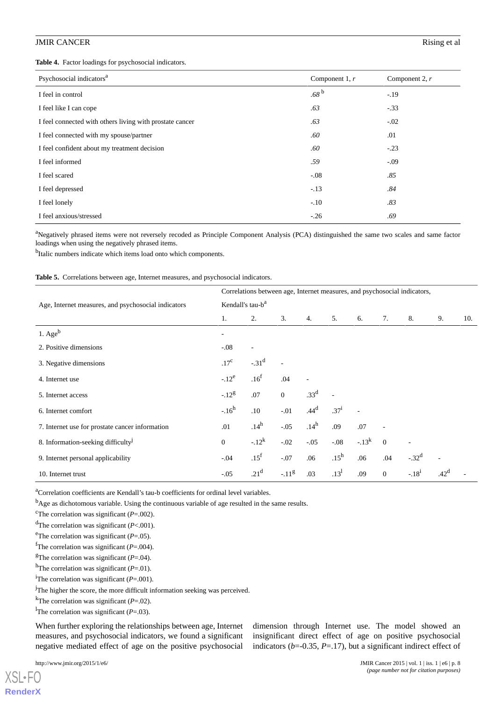<span id="page-7-0"></span>**Table 4.** Factor loadings for psychosocial indicators.

| Psychosocial indicators <sup>a</sup>                     | Component 1, $r$ | Component 2, $r$ |
|----------------------------------------------------------|------------------|------------------|
| I feel in control                                        | .68 <sup>b</sup> | $-.19$           |
| I feel like I can cope                                   | .63              | $-.33$           |
| I feel connected with others living with prostate cancer | .63              | $-.02$           |
| I feel connected with my spouse/partner                  | .60              | .01              |
| I feel confident about my treatment decision             | .60              | $-.23$           |
| I feel informed                                          | .59              | $-.09$           |
| I feel scared                                            | $-.08$           | .85              |
| I feel depressed                                         | $-.13$           | .84              |
| I feel lonely                                            | $-.10$           | .83              |
| I feel anxious/stressed                                  | $-.26$           | .69              |

<sup>a</sup>Negatively phrased items were not reversely recoded as Principle Component Analysis (PCA) distinguished the same two scales and same factor loadings when using the negatively phrased items.

<span id="page-7-1"></span><sup>b</sup>Italic numbers indicate which items load onto which components.

**Table 5.** Correlations between age, Internet measures, and psychosocial indicators.

|                                                     | Correlations between age, Internet measures, and psychosocial indicators, |                  |              |                  |           |            |                |                          |        |     |
|-----------------------------------------------------|---------------------------------------------------------------------------|------------------|--------------|------------------|-----------|------------|----------------|--------------------------|--------|-----|
| Age, Internet measures, and psychosocial indicators | Kendall's tau-b <sup>a</sup>                                              |                  |              |                  |           |            |                |                          |        |     |
|                                                     | 1.                                                                        | 2.               | 3.           | 4.               | 5.        | 6.         | 7.             | 8.                       | 9.     | 10. |
| 1. $Age^b$                                          |                                                                           |                  |              |                  |           |            |                |                          |        |     |
| 2. Positive dimensions                              | $-.08$                                                                    |                  |              |                  |           |            |                |                          |        |     |
| 3. Negative dimensions                              | .17 <sup>c</sup>                                                          | $-31^d$          |              |                  |           |            |                |                          |        |     |
| 4. Internet use                                     | $-12^{e}$                                                                 | .16 <sup>f</sup> | .04          |                  |           |            |                |                          |        |     |
| 5. Internet access                                  | $-.12^g$                                                                  | .07              | $\mathbf{0}$ | .33 <sup>d</sup> | ä,        |            |                |                          |        |     |
| 6. Internet comfort                                 | $-16^h$                                                                   | .10              | $-.01$       | .44 <sup>d</sup> | $.37^{i}$ |            |                |                          |        |     |
| 7. Internet use for prostate cancer information     | .01                                                                       | .14 <sup>h</sup> | $-.05$       | .14 <sup>h</sup> | .09       | .07        |                |                          |        |     |
| 8. Information-seeking difficulty <sup>J</sup>      | $\overline{0}$                                                            | $-.12^{k}$       | $-.02$       | $-.05$           | $-.08$    | $-.13^{k}$ | $\overline{0}$ | $\overline{\phantom{a}}$ |        |     |
| 9. Internet personal applicability                  | $-.04$                                                                    | .15 <sup>f</sup> | $-.07$       | .06              | $.15^h$   | .06        | .04            | $-.32d$                  |        |     |
| 10. Internet trust                                  | $-.05$                                                                    | .21 <sup>d</sup> | $-11^{g}$    | .03              | $13^1$    | .09        | $\mathbf{0}$   | $-.181$                  | $42^d$ |     |

<sup>a</sup>Correlation coefficients are Kendall's tau-b coefficients for ordinal level variables.

<sup>b</sup>Age as dichotomous variable. Using the continuous variable of age resulted in the same results.

<sup>c</sup>The correlation was significant ( $P = .002$ ).

<sup>d</sup>The correlation was significant (*P*<.001).

<sup>e</sup>The correlation was significant ( $P = .05$ ).

<sup>f</sup>The correlation was significant ( $P = .004$ ).

<sup>g</sup>The correlation was significant ( $P = .04$ ).

<sup>h</sup>The correlation was significant ( $P=01$ ).

<sup>i</sup>The correlation was significant (*P*=.001).

<sup>j</sup>The higher the score, the more difficult information seeking was perceived.

<sup>k</sup>The correlation was significant ( $P = .02$ ).

<sup>1</sup>The correlation was significant ( $P = .03$ ).

When further exploring the relationships between age, Internet measures, and psychosocial indicators, we found a significant negative mediated effect of age on the positive psychosocial

[XSL](http://www.w3.org/Style/XSL)•FO **[RenderX](http://www.renderx.com/)** dimension through Internet use. The model showed an insignificant direct effect of age on positive psychosocial indicators ( $b$ =-0.35,  $P$ =.17), but a significant indirect effect of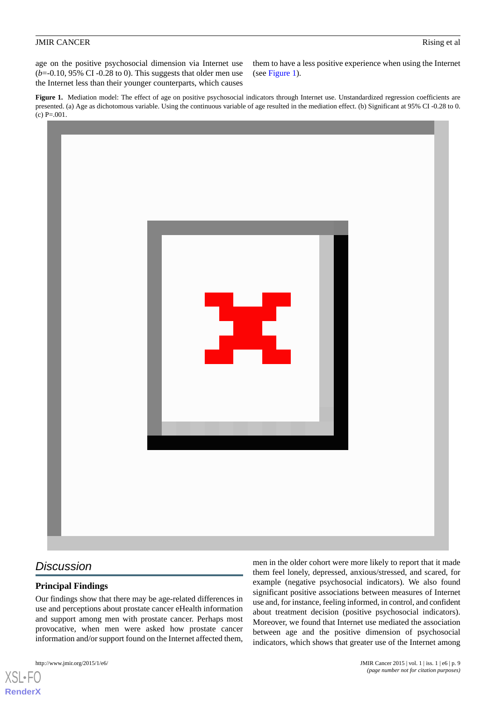age on the positive psychosocial dimension via Internet use  $(b=0.10, 95\% \text{ CI } -0.28 \text{ to } 0)$ . This suggests that older men use the Internet less than their younger counterparts, which causes them to have a less positive experience when using the Internet (see [Figure 1\)](#page-8-0).

<span id="page-8-0"></span>Figure 1. Mediation model: The effect of age on positive psychosocial indicators through Internet use. Unstandardized regression coefficients are presented. (a) Age as dichotomous variable. Using the continuous variable of age resulted in the mediation effect. (b) Significant at 95% CI -0.28 to 0.  $(c)$  P=.001.



# *Discussion*

# **Principal Findings**

Our findings show that there may be age-related differences in use and perceptions about prostate cancer eHealth information and support among men with prostate cancer. Perhaps most provocative, when men were asked how prostate cancer information and/or support found on the Internet affected them,

http://www.jmir.org/2015/1/e6/ JMIR Cancer 2015 | vol. 1 | iss. 1 | e6 | p. 9

[XSL](http://www.w3.org/Style/XSL)•FO **[RenderX](http://www.renderx.com/)**

men in the older cohort were more likely to report that it made them feel lonely, depressed, anxious/stressed, and scared, for example (negative psychosocial indicators). We also found significant positive associations between measures of Internet use and, for instance, feeling informed, in control, and confident about treatment decision (positive psychosocial indicators). Moreover, we found that Internet use mediated the association between age and the positive dimension of psychosocial indicators, which shows that greater use of the Internet among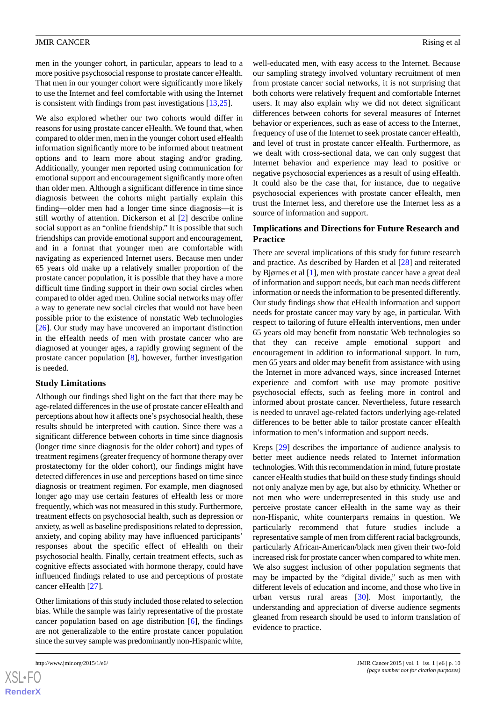men in the younger cohort, in particular, appears to lead to a more positive psychosocial response to prostate cancer eHealth. That men in our younger cohort were significantly more likely to use the Internet and feel comfortable with using the Internet is consistent with findings from past investigations [[13](#page-10-12)[,25](#page-11-4)].

We also explored whether our two cohorts would differ in reasons for using prostate cancer eHealth. We found that, when compared to older men, men in the younger cohort used eHealth information significantly more to be informed about treatment options and to learn more about staging and/or grading. Additionally, younger men reported using communication for emotional support and encouragement significantly more often than older men. Although a significant difference in time since diagnosis between the cohorts might partially explain this finding—older men had a longer time since diagnosis—it is still worthy of attention. Dickerson et al [\[2](#page-10-1)] describe online social support as an "online friendship." It is possible that such friendships can provide emotional support and encouragement, and in a format that younger men are comfortable with navigating as experienced Internet users. Because men under 65 years old make up a relatively smaller proportion of the prostate cancer population, it is possible that they have a more difficult time finding support in their own social circles when compared to older aged men. Online social networks may offer a way to generate new social circles that would not have been possible prior to the existence of nonstatic Web technologies [[26\]](#page-11-5). Our study may have uncovered an important distinction in the eHealth needs of men with prostate cancer who are diagnosed at younger ages, a rapidly growing segment of the prostate cancer population [\[8\]](#page-10-7), however, further investigation is needed.

# **Study Limitations**

Although our findings shed light on the fact that there may be age-related differences in the use of prostate cancer eHealth and perceptions about how it affects one's psychosocial health, these results should be interpreted with caution. Since there was a significant difference between cohorts in time since diagnosis (longer time since diagnosis for the older cohort) and types of treatment regimens (greater frequency of hormone therapy over prostatectomy for the older cohort), our findings might have detected differences in use and perceptions based on time since diagnosis or treatment regimen. For example, men diagnosed longer ago may use certain features of eHealth less or more frequently, which was not measured in this study. Furthermore, treatment effects on psychosocial health, such as depression or anxiety, as well as baseline predispositions related to depression, anxiety, and coping ability may have influenced participants' responses about the specific effect of eHealth on their psychosocial health. Finally, certain treatment effects, such as cognitive effects associated with hormone therapy, could have influenced findings related to use and perceptions of prostate cancer eHealth [\[27](#page-11-6)].

Other limitations of this study included those related to selection bias. While the sample was fairly representative of the prostate cancer population based on age distribution [[6\]](#page-10-5), the findings are not generalizable to the entire prostate cancer population since the survey sample was predominantly non-Hispanic white,

well-educated men, with easy access to the Internet. Because our sampling strategy involved voluntary recruitment of men from prostate cancer social networks, it is not surprising that both cohorts were relatively frequent and comfortable Internet users. It may also explain why we did not detect significant differences between cohorts for several measures of Internet behavior or experiences, such as ease of access to the Internet, frequency of use of the Internet to seek prostate cancer eHealth, and level of trust in prostate cancer eHealth. Furthermore, as we dealt with cross-sectional data, we can only suggest that Internet behavior and experience may lead to positive or negative psychosocial experiences as a result of using eHealth. It could also be the case that, for instance, due to negative psychosocial experiences with prostate cancer eHealth, men trust the Internet less, and therefore use the Internet less as a source of information and support.

### **Implications and Directions for Future Research and Practice**

There are several implications of this study for future research and practice. As described by Harden et al [[28\]](#page-11-7) and reiterated by Bjørnes et al [[1](#page-10-0)], men with prostate cancer have a great deal of information and support needs, but each man needs different information or needs the information to be presented differently. Our study findings show that eHealth information and support needs for prostate cancer may vary by age, in particular. With respect to tailoring of future eHealth interventions, men under 65 years old may benefit from nonstatic Web technologies so that they can receive ample emotional support and encouragement in addition to informational support. In turn, men 65 years and older may benefit from assistance with using the Internet in more advanced ways, since increased Internet experience and comfort with use may promote positive psychosocial effects, such as feeling more in control and informed about prostate cancer. Nevertheless, future research is needed to unravel age-related factors underlying age-related differences to be better able to tailor prostate cancer eHealth information to men's information and support needs.

Kreps [[29\]](#page-11-8) describes the importance of audience analysis to better meet audience needs related to Internet information technologies. With this recommendation in mind, future prostate cancer eHealth studies that build on these study findings should not only analyze men by age, but also by ethnicity. Whether or not men who were underrepresented in this study use and perceive prostate cancer eHealth in the same way as their non-Hispanic, white counterparts remains in question. We particularly recommend that future studies include a representative sample of men from different racial backgrounds, particularly African-American/black men given their two-fold increased risk for prostate cancer when compared to white men. We also suggest inclusion of other population segments that may be impacted by the "digital divide," such as men with different levels of education and income, and those who live in urban versus rural areas  $[30]$  $[30]$ . Most importantly, the understanding and appreciation of diverse audience segments gleaned from research should be used to inform translation of evidence to practice.

```
XSI - F(RenderX
```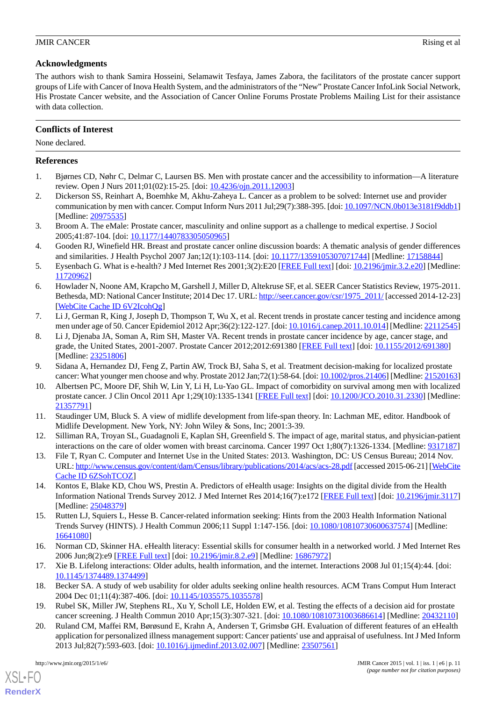# **Acknowledgments**

The authors wish to thank Samira Hosseini, Selamawit Tesfaya, James Zabora, the facilitators of the prostate cancer support groups of Life with Cancer of Inova Health System, and the administrators of the "New" Prostate Cancer InfoLink Social Network, His Prostate Cancer website, and the Association of Cancer Online Forums Prostate Problems Mailing List for their assistance with data collection.

# **Conflicts of Interest**

None declared.

# <span id="page-10-0"></span>**References**

- <span id="page-10-1"></span>1. Bjørnes CD, Nøhr C, Delmar C, Laursen BS. Men with prostate cancer and the accessibility to information—A literature review. Open J Nurs 2011;01(02):15-25. [doi: [10.4236/ojn.2011.12003](http://dx.doi.org/10.4236/ojn.2011.12003)]
- <span id="page-10-2"></span>2. Dickerson SS, Reinhart A, Boemhke M, Akhu-Zaheya L. Cancer as a problem to be solved: Internet use and provider communication by men with cancer. Comput Inform Nurs 2011 Jul;29(7):388-395. [doi: [10.1097/NCN.0b013e3181f9ddb1\]](http://dx.doi.org/10.1097/NCN.0b013e3181f9ddb1) [Medline: [20975535](http://www.ncbi.nlm.nih.gov/entrez/query.fcgi?cmd=Retrieve&db=PubMed&list_uids=20975535&dopt=Abstract)]
- <span id="page-10-3"></span>3. Broom A. The eMale: Prostate cancer, masculinity and online support as a challenge to medical expertise. J Sociol 2005;41:87-104. [doi: [10.1177/1440783305050965](http://dx.doi.org/10.1177/1440783305050965)]
- <span id="page-10-4"></span>4. Gooden RJ, Winefield HR. Breast and prostate cancer online discussion boards: A thematic analysis of gender differences and similarities. J Health Psychol 2007 Jan;12(1):103-114. [doi: [10.1177/1359105307071744\]](http://dx.doi.org/10.1177/1359105307071744) [Medline: [17158844](http://www.ncbi.nlm.nih.gov/entrez/query.fcgi?cmd=Retrieve&db=PubMed&list_uids=17158844&dopt=Abstract)]
- <span id="page-10-5"></span>5. Eysenbach G. What is e-health? J Med Internet Res 2001;3(2):E20 [[FREE Full text\]](http://www.jmir.org/2001/2/e20/) [doi: [10.2196/jmir.3.2.e20\]](http://dx.doi.org/10.2196/jmir.3.2.e20) [Medline: [11720962](http://www.ncbi.nlm.nih.gov/entrez/query.fcgi?cmd=Retrieve&db=PubMed&list_uids=11720962&dopt=Abstract)]
- <span id="page-10-6"></span>6. Howlader N, Noone AM, Krapcho M, Garshell J, Miller D, Altekruse SF, et al. SEER Cancer Statistics Review, 1975-2011. Bethesda, MD: National Cancer Institute; 2014 Dec 17. URL: [http://seer.cancer.gov/csr/1975\\_2011/](http://seer.cancer.gov/csr/1975_2011/) [accessed 2014-12-23] [[WebCite Cache ID 6V2IcohQg\]](http://www.webcitation.org/

                                6V2IcohQg)
- <span id="page-10-7"></span>7. Li J, German R, King J, Joseph D, Thompson T, Wu X, et al. Recent trends in prostate cancer testing and incidence among men under age of 50. Cancer Epidemiol 2012 Apr;36(2):122-127. [doi: [10.1016/j.canep.2011.10.014](http://dx.doi.org/10.1016/j.canep.2011.10.014)] [Medline: [22112545](http://www.ncbi.nlm.nih.gov/entrez/query.fcgi?cmd=Retrieve&db=PubMed&list_uids=22112545&dopt=Abstract)]
- <span id="page-10-9"></span><span id="page-10-8"></span>8. Li J, Djenaba JA, Soman A, Rim SH, Master VA. Recent trends in prostate cancer incidence by age, cancer stage, and grade, the United States, 2001-2007. Prostate Cancer 2012;2012:691380 [\[FREE Full text\]](http://dx.doi.org/10.1155/2012/691380) [doi: [10.1155/2012/691380](http://dx.doi.org/10.1155/2012/691380)] [Medline: [23251806](http://www.ncbi.nlm.nih.gov/entrez/query.fcgi?cmd=Retrieve&db=PubMed&list_uids=23251806&dopt=Abstract)]
- <span id="page-10-10"></span>9. Sidana A, Hernandez DJ, Feng Z, Partin AW, Trock BJ, Saha S, et al. Treatment decision-making for localized prostate cancer: What younger men choose and why. Prostate 2012 Jan;72(1):58-64. [doi: [10.1002/pros.21406\]](http://dx.doi.org/10.1002/pros.21406) [Medline: [21520163\]](http://www.ncbi.nlm.nih.gov/entrez/query.fcgi?cmd=Retrieve&db=PubMed&list_uids=21520163&dopt=Abstract)
- <span id="page-10-11"></span>10. Albertsen PC, Moore DF, Shih W, Lin Y, Li H, Lu-Yao GL. Impact of comorbidity on survival among men with localized prostate cancer. J Clin Oncol 2011 Apr 1;29(10):1335-1341 [\[FREE Full text](http://jco.ascopubs.org/cgi/pmidlookup?view=long&pmid=21357791)] [doi: [10.1200/JCO.2010.31.2330\]](http://dx.doi.org/10.1200/JCO.2010.31.2330) [Medline: [21357791](http://www.ncbi.nlm.nih.gov/entrez/query.fcgi?cmd=Retrieve&db=PubMed&list_uids=21357791&dopt=Abstract)]
- <span id="page-10-12"></span>11. Staudinger UM, Bluck S. A view of midlife development from life-span theory. In: Lachman ME, editor. Handbook of Midlife Development. New York, NY: John Wiley & Sons, Inc; 2001:3-39.
- <span id="page-10-13"></span>12. Silliman RA, Troyan SL, Guadagnoli E, Kaplan SH, Greenfield S. The impact of age, marital status, and physician-patient interactions on the care of older women with breast carcinoma. Cancer 1997 Oct 1;80(7):1326-1334. [Medline: [9317187\]](http://www.ncbi.nlm.nih.gov/entrez/query.fcgi?cmd=Retrieve&db=PubMed&list_uids=9317187&dopt=Abstract)
- <span id="page-10-14"></span>13. File T, Ryan C. Computer and Internet Use in the United States: 2013. Washington, DC: US Census Bureau; 2014 Nov. URL:<http://www.census.gov/content/dam/Census/library/publications/2014/acs/acs-28.pdf> [accessed 2015-06-21] [[WebCite](http://www.webcitation.org/

                                6ZSohTCOZ) [Cache ID 6ZSohTCOZ\]](http://www.webcitation.org/

                                6ZSohTCOZ)
- <span id="page-10-15"></span>14. Kontos E, Blake KD, Chou WS, Prestin A. Predictors of eHealth usage: Insights on the digital divide from the Health Information National Trends Survey 2012. J Med Internet Res 2014;16(7):e172 [\[FREE Full text\]](http://www.jmir.org/2014/7/e172/) [doi: [10.2196/jmir.3117](http://dx.doi.org/10.2196/jmir.3117)] [Medline: [25048379](http://www.ncbi.nlm.nih.gov/entrez/query.fcgi?cmd=Retrieve&db=PubMed&list_uids=25048379&dopt=Abstract)]
- <span id="page-10-17"></span><span id="page-10-16"></span>15. Rutten LJ, Squiers L, Hesse B. Cancer-related information seeking: Hints from the 2003 Health Information National Trends Survey (HINTS). J Health Commun 2006;11 Suppl 1:147-156. [doi: [10.1080/10810730600637574](http://dx.doi.org/10.1080/10810730600637574)] [Medline: [16641080](http://www.ncbi.nlm.nih.gov/entrez/query.fcgi?cmd=Retrieve&db=PubMed&list_uids=16641080&dopt=Abstract)]
- <span id="page-10-18"></span>16. Norman CD, Skinner HA. eHealth literacy: Essential skills for consumer health in a networked world. J Med Internet Res 2006 Jun;8(2):e9 [\[FREE Full text\]](http://www.jmir.org/2006/2/e9/) [doi: [10.2196/jmir.8.2.e9](http://dx.doi.org/10.2196/jmir.8.2.e9)] [Medline: [16867972](http://www.ncbi.nlm.nih.gov/entrez/query.fcgi?cmd=Retrieve&db=PubMed&list_uids=16867972&dopt=Abstract)]
- <span id="page-10-19"></span>17. Xie B. Lifelong interactions: Older adults, health information, and the internet. Interactions 2008 Jul 01;15(4):44. [doi: [10.1145/1374489.1374499](http://dx.doi.org/10.1145/1374489.1374499)]
- 18. Becker SA. A study of web usability for older adults seeking online health resources. ACM Trans Comput Hum Interact 2004 Dec 01;11(4):387-406. [doi: [10.1145/1035575.1035578](http://dx.doi.org/10.1145/1035575.1035578)]
- 19. Rubel SK, Miller JW, Stephens RL, Xu Y, Scholl LE, Holden EW, et al. Testing the effects of a decision aid for prostate cancer screening. J Health Commun 2010 Apr;15(3):307-321. [doi: [10.1080/10810731003686614\]](http://dx.doi.org/10.1080/10810731003686614) [Medline: [20432110\]](http://www.ncbi.nlm.nih.gov/entrez/query.fcgi?cmd=Retrieve&db=PubMed&list_uids=20432110&dopt=Abstract)
- 20. Ruland CM, Maffei RM, Børøsund E, Krahn A, Andersen T, Grimsbø GH. Evaluation of different features of an eHealth application for personalized illness management support: Cancer patients' use and appraisal of usefulness. Int J Med Inform 2013 Jul;82(7):593-603. [doi: [10.1016/j.ijmedinf.2013.02.007\]](http://dx.doi.org/10.1016/j.ijmedinf.2013.02.007) [Medline: [23507561](http://www.ncbi.nlm.nih.gov/entrez/query.fcgi?cmd=Retrieve&db=PubMed&list_uids=23507561&dopt=Abstract)]

[XSL](http://www.w3.org/Style/XSL)•FO **[RenderX](http://www.renderx.com/)**